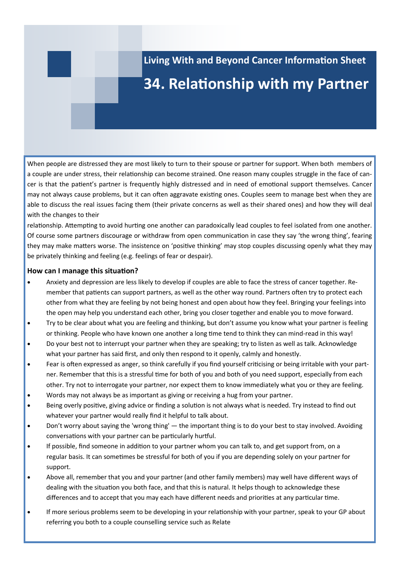**Living With and Beyond Cancer Information Sheet**

## **34. Relationship with my Partner**

When people are distressed they are most likely to turn to their spouse or partner for support. When both members of a couple are under stress, their relationship can become strained. One reason many couples struggle in the face of cancer is that the patient's partner is frequently highly distressed and in need of emotional support themselves. Cancer may not always cause problems, but it can often aggravate existing ones. Couples seem to manage best when they are able to discuss the real issues facing them (their private concerns as well as their shared ones) and how they will deal with the changes to their

relationship. Attempting to avoid hurting one another can paradoxically lead couples to feel isolated from one another. Of course some partners discourage or withdraw from open communication in case they say 'the wrong thing', fearing they may make matters worse. The insistence on 'positive thinking' may stop couples discussing openly what they may be privately thinking and feeling (e.g. feelings of fear or despair).

#### **How can I manage this situation?**

- Anxiety and depression are less likely to develop if couples are able to face the stress of cancer together. Remember that patients can support partners, as well as the other way round. Partners often try to protect each other from what they are feeling by not being honest and open about how they feel. Bringing your feelings into the open may help you understand each other, bring you closer together and enable you to move forward.
- Try to be clear about what you are feeling and thinking, but don't assume you know what your partner is feeling or thinking. People who have known one another a long time tend to think they can mind-read in this way!
- Do your best not to interrupt your partner when they are speaking; try to listen as well as talk. Acknowledge what your partner has said first, and only then respond to it openly, calmly and honestly.
- Fear is often expressed as anger, so think carefully if you find yourself criticising or being irritable with your partner. Remember that this is a stressful time for both of you and both of you need support, especially from each other. Try not to interrogate your partner, nor expect them to know immediately what you or they are feeling.
- Words may not always be as important as giving or receiving a hug from your partner.
- Being overly positive, giving advice or finding a solution is not always what is needed. Try instead to find out whatever your partner would really find it helpful to talk about.
- Don't worry about saying the 'wrong thing' the important thing is to do your best to stay involved. Avoiding conversations with your partner can be particularly hurtful.
- If possible, find someone in addition to your partner whom you can talk to, and get support from, on a regular basis. It can sometimes be stressful for both of you if you are depending solely on your partner for support.
- Above all, remember that you and your partner (and other family members) may well have different ways of dealing with the situation you both face, and that this is natural. It helps though to acknowledge these differences and to accept that you may each have different needs and priorities at any particular time.
- If more serious problems seem to be developing in your relationship with your partner, speak to your GP about referring you both to a couple counselling service such as Relate